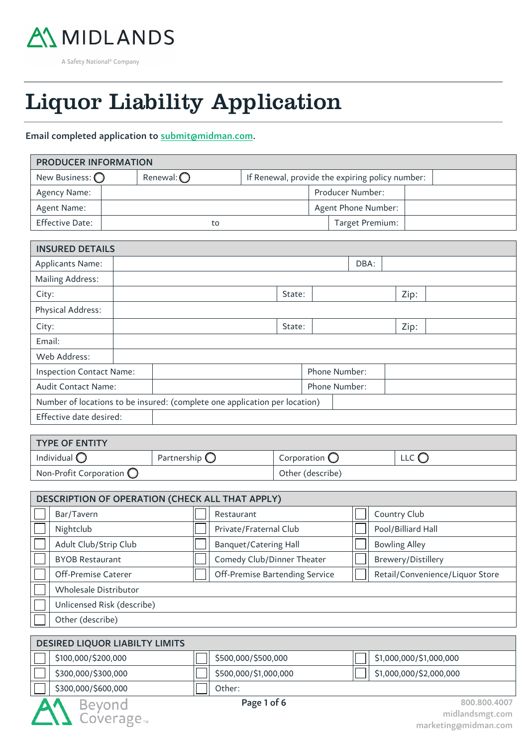

# 55 Liquor Liability Application 55

## Email completed application to submit@midman.com.

| <b>PRODUCER INFORMATION</b> |                                                                        |  |  |  |  |                     |  |  |  |
|-----------------------------|------------------------------------------------------------------------|--|--|--|--|---------------------|--|--|--|
| New Business: $\bigcirc$    | Renewal: $\bigcirc$<br>If Renewal, provide the expiring policy number: |  |  |  |  |                     |  |  |  |
| Agency Name:                |                                                                        |  |  |  |  | Producer Number:    |  |  |  |
| Agent Name:                 |                                                                        |  |  |  |  | Agent Phone Number: |  |  |  |
| <b>Effective Date:</b>      | to                                                                     |  |  |  |  | Target Premium:     |  |  |  |

| <b>INSURED DETAILS</b>          |  |  |  |  |  |                                                                                                |                                |  |  |
|---------------------------------|--|--|--|--|--|------------------------------------------------------------------------------------------------|--------------------------------|--|--|
|                                 |  |  |  |  |  | DBA:                                                                                           |                                |  |  |
|                                 |  |  |  |  |  |                                                                                                |                                |  |  |
|                                 |  |  |  |  |  |                                                                                                | Zip:                           |  |  |
|                                 |  |  |  |  |  |                                                                                                |                                |  |  |
|                                 |  |  |  |  |  |                                                                                                | Zip:                           |  |  |
|                                 |  |  |  |  |  |                                                                                                |                                |  |  |
|                                 |  |  |  |  |  |                                                                                                |                                |  |  |
| <b>Inspection Contact Name:</b> |  |  |  |  |  |                                                                                                |                                |  |  |
| Audit Contact Name:             |  |  |  |  |  |                                                                                                |                                |  |  |
|                                 |  |  |  |  |  |                                                                                                |                                |  |  |
| Effective date desired:         |  |  |  |  |  |                                                                                                |                                |  |  |
|                                 |  |  |  |  |  | State:<br>State:<br>Number of locations to be insured: (complete one application per location) | Phone Number:<br>Phone Number: |  |  |

| <b>TYPE OF ENTITY</b>             |                        |                        |                |  |  |  |  |
|-----------------------------------|------------------------|------------------------|----------------|--|--|--|--|
| Individual $\bigcirc$             | Partnership $\bigcirc$ | Corporation $\bigcirc$ | LLC $\bigcirc$ |  |  |  |  |
| Non-Profit Corporation $\bigcirc$ |                        | Other (describe)       |                |  |  |  |  |

| DESCRIPTION OF OPERATION (CHECK ALL THAT APPLY) |                                       |  |                                |  |                                 |  |  |  |
|-------------------------------------------------|---------------------------------------|--|--------------------------------|--|---------------------------------|--|--|--|
|                                                 | Bar/Tavern                            |  | Restaurant                     |  | Country Club                    |  |  |  |
|                                                 | Nightclub                             |  | Private/Fraternal Club         |  | Pool/Billiard Hall              |  |  |  |
|                                                 | Adult Club/Strip Club                 |  | <b>Banquet/Catering Hall</b>   |  | <b>Bowling Alley</b>            |  |  |  |
|                                                 | <b>BYOB Restaurant</b>                |  | Comedy Club/Dinner Theater     |  | Brewery/Distillery              |  |  |  |
|                                                 | Off-Premise Caterer                   |  | Off-Premise Bartending Service |  | Retail/Convenience/Liquor Store |  |  |  |
|                                                 | Wholesale Distributor                 |  |                                |  |                                 |  |  |  |
|                                                 | Unlicensed Risk (describe)            |  |                                |  |                                 |  |  |  |
|                                                 | Other (describe)                      |  |                                |  |                                 |  |  |  |
|                                                 |                                       |  |                                |  |                                 |  |  |  |
|                                                 | <b>DESIRED LIQUOR LIABILTY LIMITS</b> |  |                                |  |                                 |  |  |  |

| <b>DESINED EIGOON EIADIETT EINITIS</b> |                       |                         |
|----------------------------------------|-----------------------|-------------------------|
| \$100,000/\$200,000                    | \$500,000/\$500,000   | \$1,000,000/\$1,000,000 |
| \$300,000/\$300,000                    | \$500,000/\$1,000,000 | \$1,000,000/\$2,000,000 |
| \$300,000/\$600,000                    | Other:                |                         |

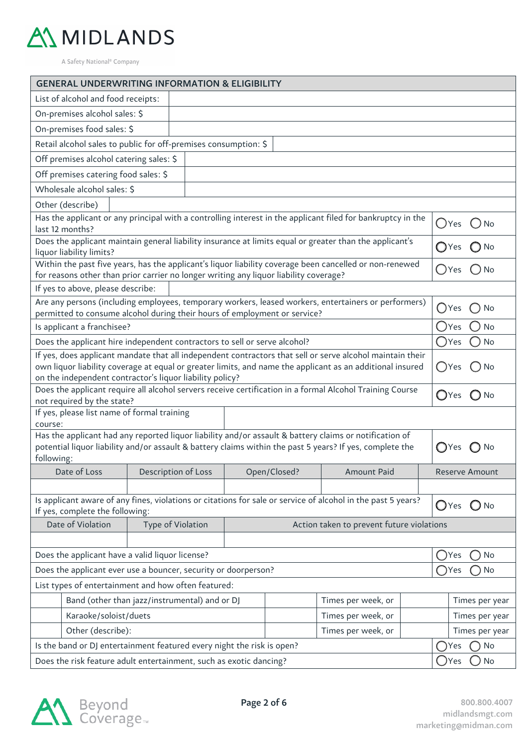

| <b>GENERAL UNDERWRITING INFORMATION &amp; ELIGIBILITY</b>                                                                                                                                                              |                     |                                 |              |                    |  |                                 |  |  |  |
|------------------------------------------------------------------------------------------------------------------------------------------------------------------------------------------------------------------------|---------------------|---------------------------------|--------------|--------------------|--|---------------------------------|--|--|--|
| List of alcohol and food receipts:                                                                                                                                                                                     |                     |                                 |              |                    |  |                                 |  |  |  |
| On-premises alcohol sales: \$                                                                                                                                                                                          |                     |                                 |              |                    |  |                                 |  |  |  |
| On-premises food sales: \$                                                                                                                                                                                             |                     |                                 |              |                    |  |                                 |  |  |  |
| Retail alcohol sales to public for off-premises consumption: \$                                                                                                                                                        |                     |                                 |              |                    |  |                                 |  |  |  |
| Off premises alcohol catering sales: \$                                                                                                                                                                                |                     |                                 |              |                    |  |                                 |  |  |  |
| Off premises catering food sales: \$                                                                                                                                                                                   |                     |                                 |              |                    |  |                                 |  |  |  |
| Wholesale alcohol sales: \$                                                                                                                                                                                            |                     |                                 |              |                    |  |                                 |  |  |  |
| Other (describe)                                                                                                                                                                                                       |                     |                                 |              |                    |  |                                 |  |  |  |
| Has the applicant or any principal with a controlling interest in the applicant filed for bankruptcy in the                                                                                                            |                     | $O$ Yes $O$ No                  |              |                    |  |                                 |  |  |  |
| last 12 months?                                                                                                                                                                                                        |                     |                                 |              |                    |  |                                 |  |  |  |
| Does the applicant maintain general liability insurance at limits equal or greater than the applicant's<br>liquor liability limits?                                                                                    |                     |                                 |              |                    |  | $\bigcirc$ Yes $\bigcirc$ No    |  |  |  |
| Within the past five years, has the applicant's liquor liability coverage been cancelled or non-renewed<br>for reasons other than prior carrier no longer writing any liquor liability coverage?                       |                     |                                 |              |                    |  | $\bigcirc$ Yes<br>$\bigcirc$ No |  |  |  |
| If yes to above, please describe:                                                                                                                                                                                      |                     |                                 |              |                    |  |                                 |  |  |  |
| Are any persons (including employees, temporary workers, leased workers, entertainers or performers)                                                                                                                   |                     |                                 |              |                    |  | $\bigcap$ Yes<br>No             |  |  |  |
| permitted to consume alcohol during their hours of employment or service?                                                                                                                                              |                     |                                 |              |                    |  |                                 |  |  |  |
| Is applicant a franchisee?                                                                                                                                                                                             |                     | No<br>$\bigcirc$ Yes            |              |                    |  |                                 |  |  |  |
| Does the applicant hire independent contractors to sell or serve alcohol?                                                                                                                                              |                     | $\bigcirc$ Yes<br>No            |              |                    |  |                                 |  |  |  |
| If yes, does applicant mandate that all independent contractors that sell or serve alcohol maintain their<br>own liquor liability coverage at equal or greater limits, and name the applicant as an additional insured |                     |                                 |              |                    |  | ◯Yes<br>◯ No                    |  |  |  |
| on the independent contractor's liquor liability policy?<br>Does the applicant require all alcohol servers receive certification in a formal Alcohol Training Course                                                   |                     |                                 |              |                    |  |                                 |  |  |  |
| not required by the state?                                                                                                                                                                                             |                     | $\bigcirc$ Yes<br>$\bigcirc$ No |              |                    |  |                                 |  |  |  |
| If yes, please list name of formal training                                                                                                                                                                            |                     |                                 |              |                    |  |                                 |  |  |  |
| course:                                                                                                                                                                                                                |                     |                                 |              |                    |  |                                 |  |  |  |
| Has the applicant had any reported liquor liability and/or assault & battery claims or notification of<br>potential liquor liability and/or assault & battery claims within the past 5 years? If yes, complete the     |                     |                                 |              |                    |  | $\bigcirc$ Yes<br>$\bigcirc$ No |  |  |  |
| following:                                                                                                                                                                                                             |                     |                                 |              |                    |  |                                 |  |  |  |
| Date of Loss                                                                                                                                                                                                           | Description of Loss |                                 | Open/Closed? | Amount Paid        |  | Reserve Amount                  |  |  |  |
|                                                                                                                                                                                                                        |                     |                                 |              |                    |  |                                 |  |  |  |
| Is applicant aware of any fines, violations or citations for sale or service of alcohol in the past 5 years?<br>If yes, complete the following:                                                                        |                     |                                 |              |                    |  | $\bigcirc$ Yes $\bigcirc$ No    |  |  |  |
| Date of Violation<br>Type of Violation<br>Action taken to prevent future violations                                                                                                                                    |                     |                                 |              |                    |  |                                 |  |  |  |
|                                                                                                                                                                                                                        |                     |                                 |              |                    |  |                                 |  |  |  |
| Does the applicant have a valid liquor license?<br>Yes                                                                                                                                                                 |                     |                                 |              |                    |  |                                 |  |  |  |
| Does the applicant ever use a bouncer, security or doorperson?                                                                                                                                                         |                     |                                 |              |                    |  | No<br>DYes (                    |  |  |  |
| List types of entertainment and how often featured:                                                                                                                                                                    |                     |                                 |              |                    |  |                                 |  |  |  |
| Band (other than jazz/instrumental) and or DJ                                                                                                                                                                          |                     |                                 |              | Times per week, or |  | Times per year                  |  |  |  |
| Karaoke/soloist/duets<br>Times per week, or                                                                                                                                                                            |                     |                                 |              |                    |  | Times per year                  |  |  |  |
| Other (describe):<br>Times per week, or                                                                                                                                                                                |                     |                                 |              |                    |  | Times per year                  |  |  |  |
| Is the band or DJ entertainment featured every night the risk is open?                                                                                                                                                 |                     | No<br>Yes                       |              |                    |  |                                 |  |  |  |
| Does the risk feature adult entertainment, such as exotic dancing?                                                                                                                                                     |                     | No<br>Yes                       |              |                    |  |                                 |  |  |  |

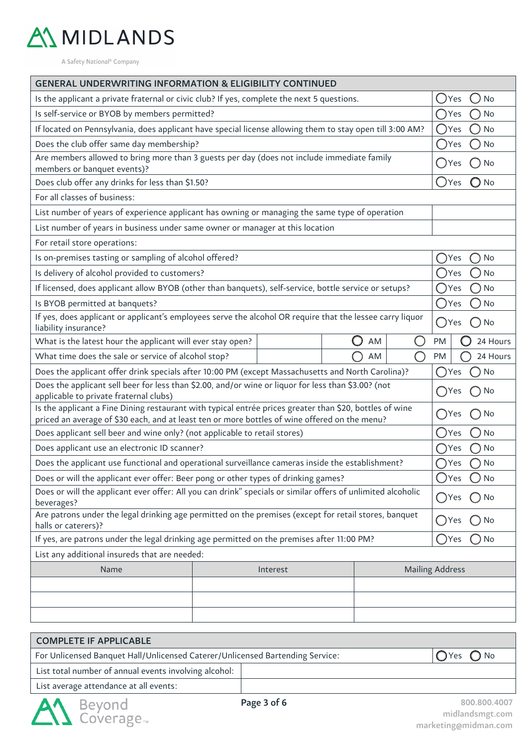

| <b>GENERAL UNDERWRITING INFORMATION &amp; ELIGIBILITY CONTINUED</b>                                                                                                                                      |               |           |  |    |  |                |                                |  |  |
|----------------------------------------------------------------------------------------------------------------------------------------------------------------------------------------------------------|---------------|-----------|--|----|--|----------------|--------------------------------|--|--|
| Is the applicant a private fraternal or civic club? If yes, complete the next 5 questions.                                                                                                               |               |           |  |    |  | Yes            | No                             |  |  |
| Is self-service or BYOB by members permitted?                                                                                                                                                            |               |           |  |    |  | ( )Yes         | <b>No</b>                      |  |  |
| If located on Pennsylvania, does applicant have special license allowing them to stay open till 3:00 AM?                                                                                                 |               |           |  |    |  | $\bigcirc$ Yes | No                             |  |  |
| Does the club offer same day membership?                                                                                                                                                                 |               |           |  |    |  | (JYes          | No                             |  |  |
| Are members allowed to bring more than 3 guests per day (does not include immediate family<br>members or banquet events)?                                                                                |               |           |  |    |  | ( )Yes         | No                             |  |  |
| Does club offer any drinks for less than \$1.50?                                                                                                                                                         |               |           |  |    |  | $\bigcap$ Yes  | $\bigcirc$ No                  |  |  |
| For all classes of business:                                                                                                                                                                             |               |           |  |    |  |                |                                |  |  |
| List number of years of experience applicant has owning or managing the same type of operation                                                                                                           |               |           |  |    |  |                |                                |  |  |
| List number of years in business under same owner or manager at this location                                                                                                                            |               |           |  |    |  |                |                                |  |  |
| For retail store operations:                                                                                                                                                                             |               |           |  |    |  |                |                                |  |  |
| Is on-premises tasting or sampling of alcohol offered?                                                                                                                                                   |               |           |  |    |  | Yes            | No                             |  |  |
| Is delivery of alcohol provided to customers?                                                                                                                                                            |               |           |  |    |  | ( JYes         | No                             |  |  |
| If licensed, does applicant allow BYOB (other than banquets), self-service, bottle service or setups?                                                                                                    |               |           |  |    |  | ()Yes          | No                             |  |  |
| Is BYOB permitted at banquets?                                                                                                                                                                           | ()Yes         | No        |  |    |  |                |                                |  |  |
| If yes, does applicant or applicant's employees serve the alcohol OR require that the lessee carry liquor<br>liability insurance?                                                                        | $\bigcap$ Yes | No<br>( ) |  |    |  |                |                                |  |  |
| What is the latest hour the applicant will ever stay open?                                                                                                                                               |               |           |  | AM |  | PM             | 24 Hours                       |  |  |
| What time does the sale or service of alcohol stop?                                                                                                                                                      |               |           |  | AM |  | PM             | 24 Hours                       |  |  |
| Does the applicant offer drink specials after 10:00 PM (except Massachusetts and North Carolina)?                                                                                                        |               |           |  |    |  | $\bigcap$ Yes  | No                             |  |  |
| Does the applicant sell beer for less than \$2.00, and/or wine or liquor for less than \$3.00? (not<br>applicable to private fraternal clubs)                                                            |               |           |  |    |  | ()Yes          | No                             |  |  |
| Is the applicant a Fine Dining restaurant with typical entrée prices greater than \$20, bottles of wine<br>priced an average of \$30 each, and at least ten or more bottles of wine offered on the menu? |               |           |  |    |  | ( )Yes         | No<br>$\qquad \qquad \Box$     |  |  |
| Does applicant sell beer and wine only? (not applicable to retail stores)                                                                                                                                |               |           |  |    |  | ( )Yes         | No                             |  |  |
| Does applicant use an electronic ID scanner?                                                                                                                                                             |               |           |  |    |  | ○Yes           | <b>No</b>                      |  |  |
| Does the applicant use functional and operational surveillance cameras inside the establishment?                                                                                                         |               |           |  |    |  | Yes            | No                             |  |  |
| Does or will the applicant ever offer: Beer pong or other types of drinking games?                                                                                                                       |               |           |  |    |  | $\bigcirc$ Yes | ) No                           |  |  |
| Does or will the applicant ever offer: All you can drink" specials or similar offers of unlimited alcoholic<br>beverages?                                                                                |               |           |  |    |  |                | $\bigcirc$ No                  |  |  |
| Are patrons under the legal drinking age permitted on the premises (except for retail stores, banquet<br>halls or caterers)?                                                                             |               |           |  |    |  |                | $\bigcap$ No                   |  |  |
| If yes, are patrons under the legal drinking age permitted on the premises after 11:00 PM?                                                                                                               |               |           |  |    |  |                | No<br>$\overline{\phantom{a}}$ |  |  |
| List any additional insureds that are needed:                                                                                                                                                            |               |           |  |    |  |                |                                |  |  |
| <b>Mailing Address</b><br>Name<br>Interest                                                                                                                                                               |               |           |  |    |  |                |                                |  |  |
|                                                                                                                                                                                                          |               |           |  |    |  |                |                                |  |  |
|                                                                                                                                                                                                          |               |           |  |    |  |                |                                |  |  |
|                                                                                                                                                                                                          |               |           |  |    |  |                |                                |  |  |
|                                                                                                                                                                                                          |               |           |  |    |  |                |                                |  |  |

| COMPLETE IF APPLICABLE                                                        |                                      |
|-------------------------------------------------------------------------------|--------------------------------------|
| For Unlicensed Banquet Hall/Unlicensed Caterer/Unlicensed Bartending Service: | $\overline{O}$ Yes $\overline{O}$ No |
| List total number of annual events involving alcohol:                         |                                      |
| List average attendance at all events:                                        |                                      |

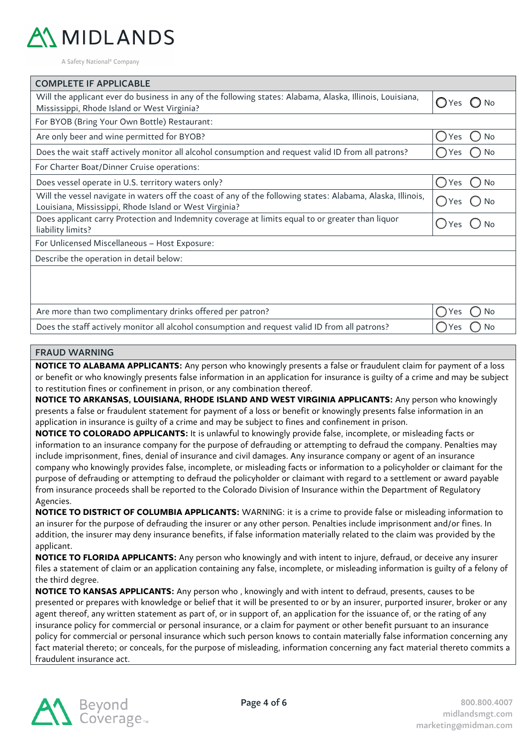

| <b>COMPLETE IF APPLICABLE</b>                                                                                                                                         |                     |
|-----------------------------------------------------------------------------------------------------------------------------------------------------------------------|---------------------|
| Will the applicant ever do business in any of the following states: Alabama, Alaska, Illinois, Louisiana,<br>Mississippi, Rhode Island or West Virginia?              | OYes<br>. J No      |
| For BYOB (Bring Your Own Bottle) Restaurant:                                                                                                                          |                     |
| Are only beer and wine permitted for BYOB?                                                                                                                            | <b>No</b><br>Yes    |
| Does the wait staff actively monitor all alcohol consumption and request valid ID from all patrons?                                                                   | No<br>Yes           |
| For Charter Boat/Dinner Cruise operations:                                                                                                                            |                     |
| Does vessel operate in U.S. territory waters only?                                                                                                                    | $\bigcap$ Yes<br>No |
| Will the vessel navigate in waters off the coast of any of the following states: Alabama, Alaska, Illinois,<br>Louisiana, Mississippi, Rhode Island or West Virginia? | Yes<br>No           |
| Does applicant carry Protection and Indemnity coverage at limits equal to or greater than liquor<br>liability limits?                                                 | $\bigcap$ Yes       |
| For Unlicensed Miscellaneous - Host Exposure:                                                                                                                         |                     |
| Describe the operation in detail below:                                                                                                                               |                     |
|                                                                                                                                                                       |                     |
| Are more than two complimentary drinks offered per patron?                                                                                                            | No<br><b>Yes</b>    |
| Does the staff actively monitor all alcohol consumption and request valid ID from all patrons?                                                                        | No<br>res           |
|                                                                                                                                                                       |                     |

#### FRAUD WARNING

**NOTICE TO ALABAMA APPLICANTS:** Any person who knowingly presents a false or fraudulent claim for payment of a loss or benefit or who knowingly presents false information in an application for insurance is guilty of a crime and may be subject to restitution fines or confinement in prison, or any combination thereof.

**NOTICE TO ARKANSAS, LOUISIANA, RHODE ISLAND AND WEST VIRGINIA APPLICANTS:** Any person who knowingly presents a false or fraudulent statement for payment of a loss or benefit or knowingly presents false information in an application in insurance is guilty of a crime and may be subject to fines and confinement in prison.

**NOTICE TO COLORADO APPLICANTS:** It is unlawful to knowingly provide false, incomplete, or misleading facts or information to an insurance company for the purpose of defrauding or attempting to defraud the company. Penalties may include imprisonment, fines, denial of insurance and civil damages. Any insurance company or agent of an insurance company who knowingly provides false, incomplete, or misleading facts or information to a policyholder or claimant for the purpose of defrauding or attempting to defraud the policyholder or claimant with regard to a settlement or award payable from insurance proceeds shall be reported to the Colorado Division of Insurance within the Department of Regulatory Agencies.

**NOTICE TO DISTRICT OF COLUMBIA APPLICANTS:** WARNING: it is a crime to provide false or misleading information to an insurer for the purpose of defrauding the insurer or any other person. Penalties include imprisonment and/or fines. In addition, the insurer may deny insurance benefits, if false information materially related to the claim was provided by the applicant.

**NOTICE TO FLORIDA APPLICANTS:** Any person who knowingly and with intent to injure, defraud, or deceive any insurer files a statement of claim or an application containing any false, incomplete, or misleading information is guilty of a felony of the third degree.

**NOTICE TO KANSAS APPLICANTS:** Any person who , knowingly and with intent to defraud, presents, causes to be presented or prepares with knowledge or belief that it will be presented to or by an insurer, purported insurer, broker or any agent thereof, any written statement as part of, or in support of, an application for the issuance of, or the rating of any insurance policy for commercial or personal insurance, or a claim for payment or other benefit pursuant to an insurance policy for commercial or personal insurance which such person knows to contain materially false information concerning any fact material thereto; or conceals, for the purpose of misleading, information concerning any fact material thereto commits a fraudulent insurance act.

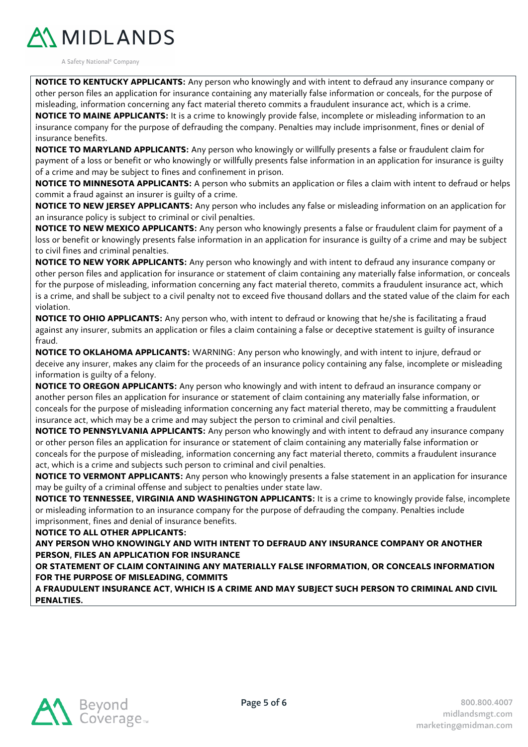

**NOTICE TO KENTUCKY APPLICANTS:** Any person who knowingly and with intent to defraud any insurance company or other person files an application for insurance containing any materially false information or conceals, for the purpose of misleading, information concerning any fact material thereto commits a fraudulent insurance act, which is a crime.

**NOTICE TO MAINE APPLICANTS:** It is a crime to knowingly provide false, incomplete or misleading information to an insurance company for the purpose of defrauding the company. Penalties may include imprisonment, fines or denial of insurance benefits.

**NOTICE TO MARYLAND APPLICANTS:** Any person who knowingly or willfully presents a false or fraudulent claim for payment of a loss or benefit or who knowingly or willfully presents false information in an application for insurance is guilty of a crime and may be subject to fines and confinement in prison.

**NOTICE TO MINNESOTA APPLICANTS:** A person who submits an application or files a claim with intent to defraud or helps commit a fraud against an insurer is guilty of a crime.

**NOTICE TO NEW JERSEY APPLICANTS:** Any person who includes any false or misleading information on an application for an insurance policy is subject to criminal or civil penalties.

**NOTICE TO NEW MEXICO APPLICANTS:** Any person who knowingly presents a false or fraudulent claim for payment of a loss or benefit or knowingly presents false information in an application for insurance is guilty of a crime and may be subject to civil fines and criminal penalties.

**NOTICE TO NEW YORK APPLICANTS:** Any person who knowingly and with intent to defraud any insurance company or other person files and application for insurance or statement of claim containing any materially false information, or conceals for the purpose of misleading, information concerning any fact material thereto, commits a fraudulent insurance act, which is a crime, and shall be subject to a civil penalty not to exceed five thousand dollars and the stated value of the claim for each violation.

**NOTICE TO OHIO APPLICANTS:** Any person who, with intent to defraud or knowing that he/she is facilitating a fraud against any insurer, submits an application or files a claim containing a false or deceptive statement is guilty of insurance fraud.

**NOTICE TO OKLAHOMA APPLICANTS:** WARNING: Any person who knowingly, and with intent to injure, defraud or deceive any insurer, makes any claim for the proceeds of an insurance policy containing any false, incomplete or misleading information is guilty of a felony.

**NOTICE TO OREGON APPLICANTS:** Any person who knowingly and with intent to defraud an insurance company or another person files an application for insurance or statement of claim containing any materially false information, or conceals for the purpose of misleading information concerning any fact material thereto, may be committing a fraudulent insurance act, which may be a crime and may subject the person to criminal and civil penalties.

**NOTICE TO PENNSYLVANIA APPLICANTS:** Any person who knowingly and with intent to defraud any insurance company or other person files an application for insurance or statement of claim containing any materially false information or conceals for the purpose of misleading, information concerning any fact material thereto, commits a fraudulent insurance act, which is a crime and subjects such person to criminal and civil penalties.

**NOTICE TO VERMONT APPLICANTS:** Any person who knowingly presents a false statement in an application for insurance may be guilty of a criminal offense and subject to penalties under state law.

**NOTICE TO TENNESSEE, VIRGINIA AND WASHINGTON APPLICANTS:** It is a crime to knowingly provide false, incomplete or misleading information to an insurance company for the purpose of defrauding the company. Penalties include imprisonment, fines and denial of insurance benefits.

**NOTICE TO ALL OTHER APPLICANTS:**

**ANY PERSON WHO KNOWINGLY AND WITH INTENT TO DEFRAUD ANY INSURANCE COMPANY OR ANOTHER PERSON, FILES AN APPLICATION FOR INSURANCE**

**OR STATEMENT OF CLAIM CONTAINING ANY MATERIALLY FALSE INFORMATION, OR CONCEALS INFORMATION FOR THE PURPOSE OF MISLEADING, COMMITS**

**A FRAUDULENT INSURANCE ACT, WHICH IS A CRIME AND MAY SUBJECT SUCH PERSON TO CRIMINAL AND CIVIL PENALTIES.**